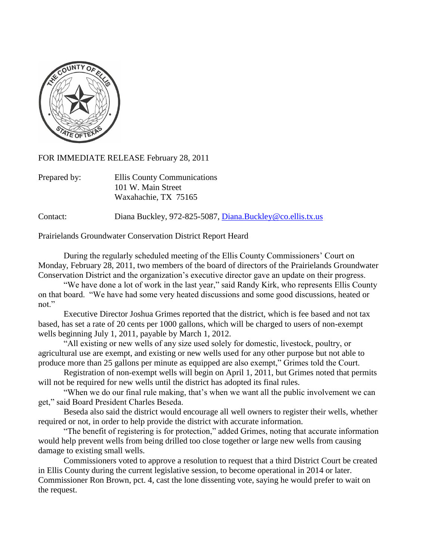

FOR IMMEDIATE RELEASE February 28, 2011

| Prepared by: | Ellis County Communications |
|--------------|-----------------------------|
|              | 101 W. Main Street          |
|              | Waxahachie, TX 75165        |

Contact: Diana Buckley, 972-825-5087, [Diana.Buckley@co.ellis.tx.us](mailto:Diana.Buckley@co.ellis.tx.us)

Prairielands Groundwater Conservation District Report Heard

During the regularly scheduled meeting of the Ellis County Commissioners' Court on Monday, February 28, 2011, two members of the board of directors of the Prairielands Groundwater Conservation District and the organization's executive director gave an update on their progress.

"We have done a lot of work in the last year," said Randy Kirk, who represents Ellis County on that board. "We have had some very heated discussions and some good discussions, heated or not."

Executive Director Joshua Grimes reported that the district, which is fee based and not tax based, has set a rate of 20 cents per 1000 gallons, which will be charged to users of non-exempt wells beginning July 1, 2011, payable by March 1, 2012.

"All existing or new wells of any size used solely for domestic, livestock, poultry, or agricultural use are exempt, and existing or new wells used for any other purpose but not able to produce more than 25 gallons per minute as equipped are also exempt," Grimes told the Court.

Registration of non-exempt wells will begin on April 1, 2011, but Grimes noted that permits will not be required for new wells until the district has adopted its final rules.

"When we do our final rule making, that's when we want all the public involvement we can get," said Board President Charles Beseda.

Beseda also said the district would encourage all well owners to register their wells, whether required or not, in order to help provide the district with accurate information.

"The benefit of registering is for protection," added Grimes, noting that accurate information would help prevent wells from being drilled too close together or large new wells from causing damage to existing small wells.

Commissioners voted to approve a resolution to request that a third District Court be created in Ellis County during the current legislative session, to become operational in 2014 or later. Commissioner Ron Brown, pct. 4, cast the lone dissenting vote, saying he would prefer to wait on the request.